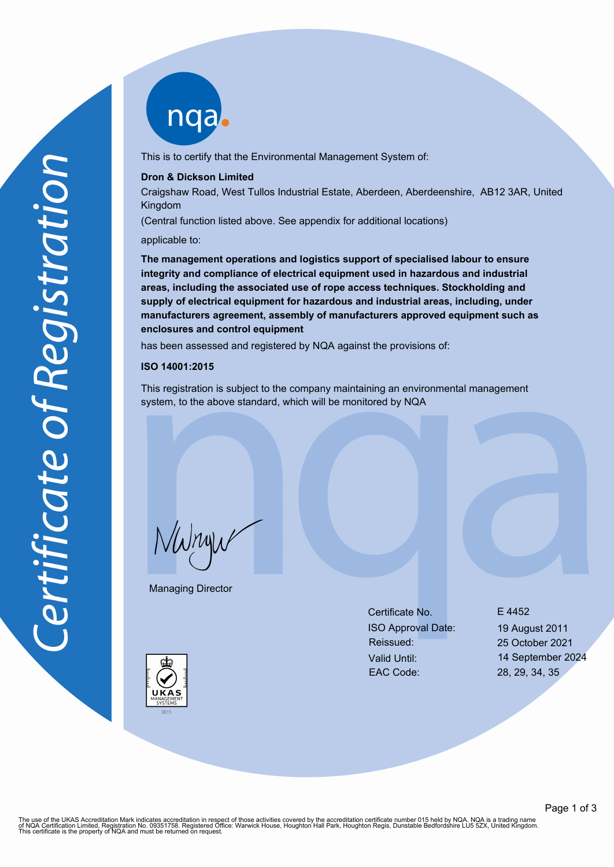nqab

This is to certify that the Environmental Management System of:

#### **Dron & Dickson Limited**

Craigshaw Road, West Tullos Industrial Estate, Aberdeen, Aberdeenshire, AB12 3AR, United Kingdom

(Central function listed above. See appendix for additional locations)

applicable to:

**The management operations and logistics support of specialised labour to ensure integrity and compliance of electrical equipment used in hazardous and industrial areas, including the associated use of rope access techniques. Stockholding and supply of electrical equipment for hazardous and industrial areas, including, under manufacturers agreement, assembly of manufacturers approved equipment such as enclosures and control equipment**

has been assessed and registered by NQA against the provisions of:

#### **ISO 14001:2015**

This registration is subject to the company maintaining an environmental management system, to the above standard, which will be monitored by NQA

NWnyw

Managing Director

Certificate No. E 4452 ISO Approval Date: 19 August 2011 Reissued: 25 October 2021 EAC Code: 28, 29, 34, 35

Valid Until: 14 September 2024



The use of the UKAS Accreditation Mark indicates accreditation in respect of those activities covered by the accreditation certificate number 015 held by NQA. NQA is a trading name<br>of NQA Certification Limited, Registratio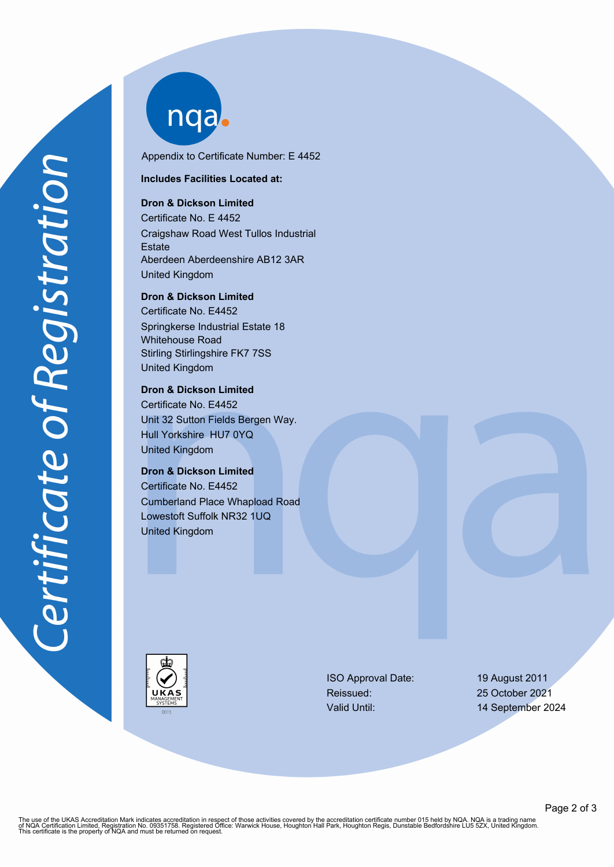nqab

Appendix to Certificate Number: E 4452

**Includes Facilities Located at:**

# **Dron & Dickson Limited**

Certificate No. E 4452 Craigshaw Road West Tullos Industrial **Estate** Aberdeen Aberdeenshire AB12 3AR United Kingdom

**Dron & Dickson Limited** Certificate No. E4452 Springkerse Industrial Estate 18 Whitehouse Road

Stirling Stirlingshire FK7 7SS United Kingdom

# **Dron & Dickson Limited**

Certificate No. E4452 Unit 32 Sutton Fields Bergen Way. Hull Yorkshire HU7 0YQ United Kingdom

# **Dron & Dickson Limited**

Certificate No. E4452 Cumberland Place Whapload Road Lowestoft Suffolk NR32 1UQ United Kingdom



ISO Approval Date: 19 August 2011 Reissued: 25 October 2021 Valid Until: 14 September 2024